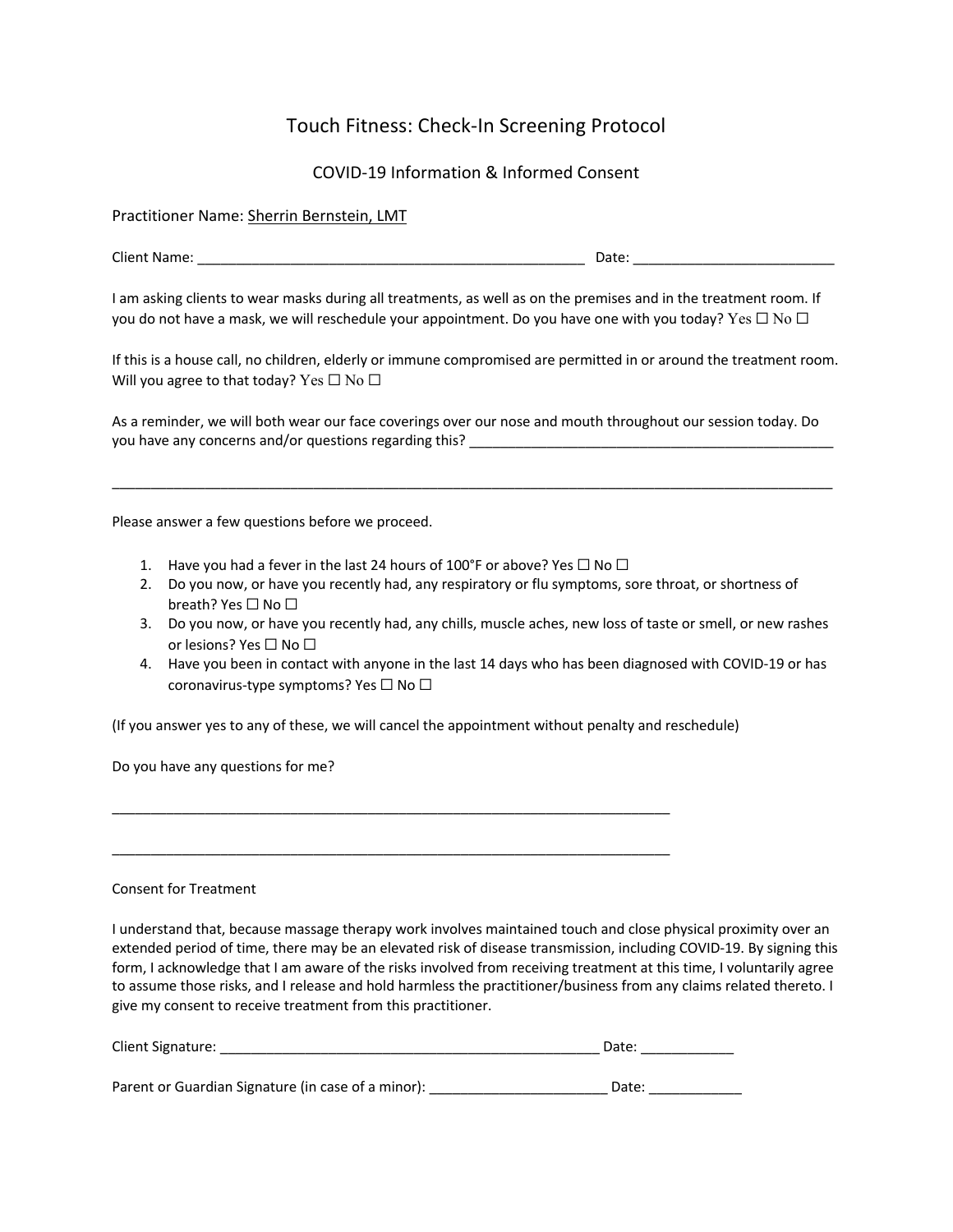## Touch Fitness: Check-In Screening Protocol

COVID-19 Information & Informed Consent

Practitioner Name: Sherrin Bernstein, LMT

| Clien.<br>Name |  | ate |
|----------------|--|-----|
|----------------|--|-----|

I am asking clients to wear masks during all treatments, as well as on the premises and in the treatment room. If you do not have a mask, we will reschedule your appointment. Do you have one with you today? Yes  $\Box$  No  $\Box$ 

If this is a house call, no children, elderly or immune compromised are permitted in or around the treatment room. Will you agree to that today? Yes  $\Box$  No  $\Box$ 

As a reminder, we will both wear our face coverings over our nose and mouth throughout our session today. Do you have any concerns and/or questions regarding this?

 $\_$  ,  $\_$  ,  $\_$  ,  $\_$  ,  $\_$  ,  $\_$  ,  $\_$  ,  $\_$  ,  $\_$  ,  $\_$  ,  $\_$  ,  $\_$  ,  $\_$  ,  $\_$  ,  $\_$  ,  $\_$  ,  $\_$  ,  $\_$  ,  $\_$  ,  $\_$  ,  $\_$  ,  $\_$  ,  $\_$  ,  $\_$  ,  $\_$  ,  $\_$  ,  $\_$  ,  $\_$  ,  $\_$  ,  $\_$  ,  $\_$  ,  $\_$  ,  $\_$  ,  $\_$  ,  $\_$  ,  $\_$  ,  $\_$  ,

Please answer a few questions before we proceed.

1. Have you had a fever in the last 24 hours of 100°F or above? Yes  $\Box$  No  $\Box$ 

\_\_\_\_\_\_\_\_\_\_\_\_\_\_\_\_\_\_\_\_\_\_\_\_\_\_\_\_\_\_\_\_\_\_\_\_\_\_\_\_\_\_\_\_\_\_\_\_\_\_\_\_\_\_\_\_\_\_\_\_\_\_\_\_\_\_\_\_\_\_\_\_

\_\_\_\_\_\_\_\_\_\_\_\_\_\_\_\_\_\_\_\_\_\_\_\_\_\_\_\_\_\_\_\_\_\_\_\_\_\_\_\_\_\_\_\_\_\_\_\_\_\_\_\_\_\_\_\_\_\_\_\_\_\_\_\_\_\_\_\_\_\_\_\_

- 2. Do you now, or have you recently had, any respiratory or flu symptoms, sore throat, or shortness of breath? Yes □ No □
- 3. Do you now, or have you recently had, any chills, muscle aches, new loss of taste or smell, or new rashes or lesions? Yes □ No □
- 4. Have you been in contact with anyone in the last 14 days who has been diagnosed with COVID-19 or has coronavirus-type symptoms? Yes □ No □

(If you answer yes to any of these, we will cancel the appointment without penalty and reschedule)

Do you have any questions for me?

Consent for Treatment

I understand that, because massage therapy work involves maintained touch and close physical proximity over an extended period of time, there may be an elevated risk of disease transmission, including COVID-19. By signing this form, I acknowledge that I am aware of the risks involved from receiving treatment at this time, I voluntarily agree to assume those risks, and I release and hold harmless the practitioner/business from any claims related thereto. I give my consent to receive treatment from this practitioner.

| <b>Client Signature:</b>                           | Date: |
|----------------------------------------------------|-------|
|                                                    |       |
| Parent or Guardian Signature (in case of a minor): | Date: |